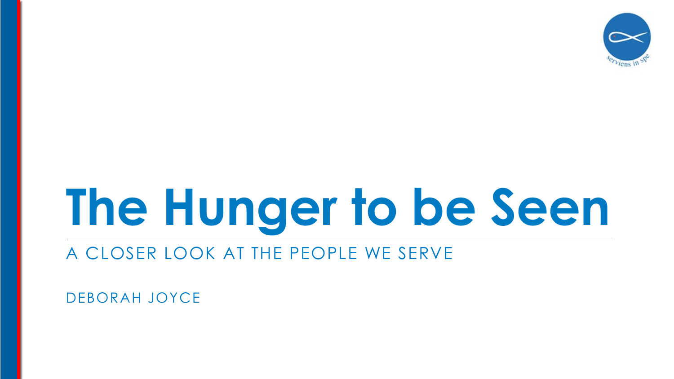

# **The Hunger to be Seen**

#### A CLOSER LOOK AT THE PEOPLE WE SERVE

DEBORAH JOYCE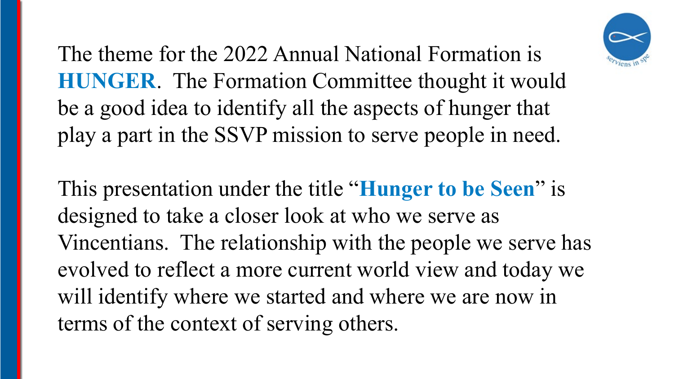

The theme for the 2022 Annual National Formation is **HUNGER**. The Formation Committee thought it would be a good idea to identify all the aspects of hunger that play a part in the SSVP mission to serve people in need.

This presentation under the title "**Hunger to be Seen**" is designed to take a closer look at who we serve as Vincentians. The relationship with the people we serve has evolved to reflect a more current world view and today we will identify where we started and where we are now in terms of the context of serving others.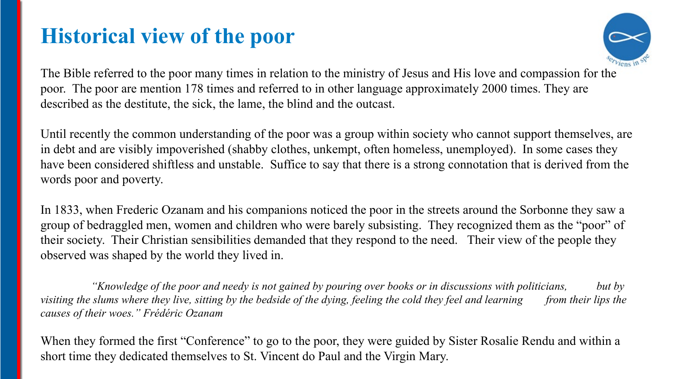## **Historical view of the poor**



The Bible referred to the poor many times in relation to the ministry of Jesus and His love and compassion for the poor. The poor are mention 178 times and referred to in other language approximately 2000 times. They are described as the destitute, the sick, the lame, the blind and the outcast.

Until recently the common understanding of the poor was a group within society who cannot support themselves, are in debt and are visibly impoverished (shabby clothes, unkempt, often homeless, unemployed). In some cases they have been considered shiftless and unstable. Suffice to say that there is a strong connotation that is derived from the words poor and poverty.

In 1833, when Frederic Ozanam and his companions noticed the poor in the streets around the Sorbonne they saw a group of bedraggled men, women and children who were barely subsisting. They recognized them as the "poor" of their society. Their Christian sensibilities demanded that they respond to the need. Their view of the people they observed was shaped by the world they lived in.

*"Knowledge of the poor and needy is not gained by pouring over books or in discussions with politicians, but by visiting the slums where they live, sitting by the bedside of the dying, feeling the cold they feel and learning from their lips the causes of their woes." Frédéric Ozanam*

When they formed the first "Conference" to go to the poor, they were guided by Sister Rosalie Rendu and within a short time they dedicated themselves to St. Vincent do Paul and the Virgin Mary.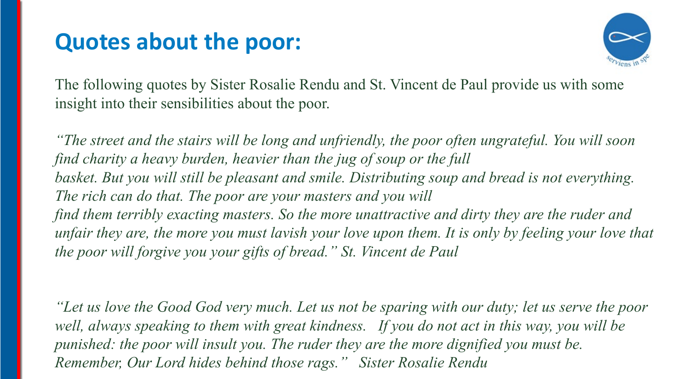## **Quotes about the poor:**



The following quotes by Sister Rosalie Rendu and St. Vincent de Paul provide us with some insight into their sensibilities about the poor.

*"The street and the stairs will be long and unfriendly, the poor often ungrateful. You will soon find charity a heavy burden, heavier than the jug of soup or the full basket. But you will still be pleasant and smile. Distributing soup and bread is not everything. The rich can do that. The poor are your masters and you will find them terribly exacting masters. So the more unattractive and dirty they are the ruder and unfair they are, the more you must lavish your love upon them. It is only by feeling your love that the poor will forgive you your gifts of bread." St. Vincent de Paul*

*"Let us love the Good God very much. Let us not be sparing with our duty; let us serve the poor well, always speaking to them with great kindness. If you do not act in this way, you will be punished: the poor will insult you. The ruder they are the more dignified you must be. Remember, Our Lord hides behind those rags." Sister Rosalie Rendu*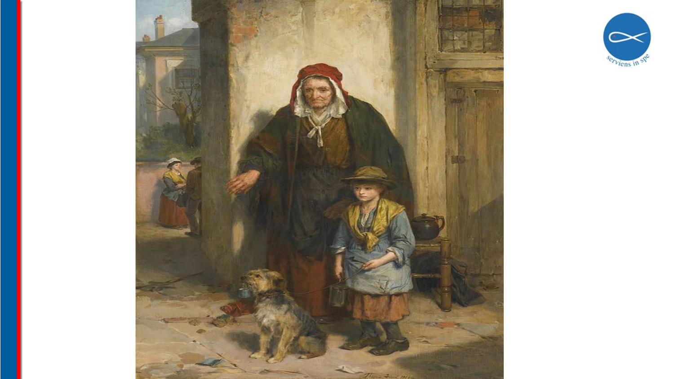

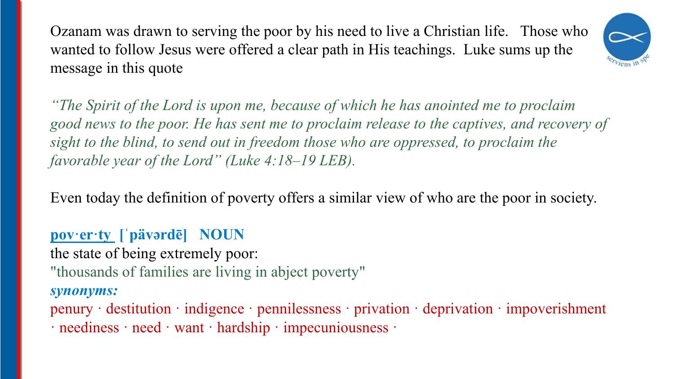Ozanam was drawn to serving the poor by his need to live a Christian life. Those who wanted to follow Jesus were offered a clear path in His teachings. Luke sums up the message in this quote



*"The Spirit of the Lord is upon me, because of which he has anointed me to proclaim good news to the poor. He has sent me to proclaim release to the captives, and recovery of sight to the blind, to send out in freedom those who are oppressed, to proclaim the favorable year of the Lord" (Luke 4:18–19 LEB).* 

Even today the definition of poverty offers a similar view of who are the poor in society.

#### **pov·er·ty [ˈpävərdē] NOUN**

the state of being extremely poor:

"thousands of families are living in abject poverty"

#### *synonyms:*

penury · destitution · indigence · pennilessness · privation · deprivation · impoverishment · neediness · need · want · hardship · impecuniousness ·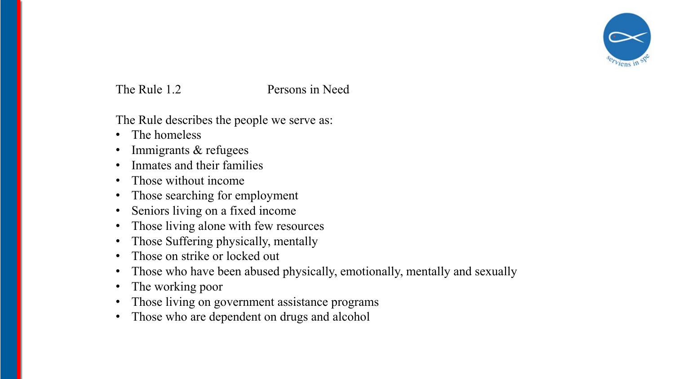

#### The Rule 1.2 Persons in Need

The Rule describes the people we serve as:

- The homeless
- Immigrants & refugees
- Inmates and their families
- Those without income
- Those searching for employment
- Seniors living on a fixed income
- Those living alone with few resources
- Those Suffering physically, mentally
- Those on strike or locked out
- Those who have been abused physically, emotionally, mentally and sexually
- The working poor
- Those living on government assistance programs
- Those who are dependent on drugs and alcohol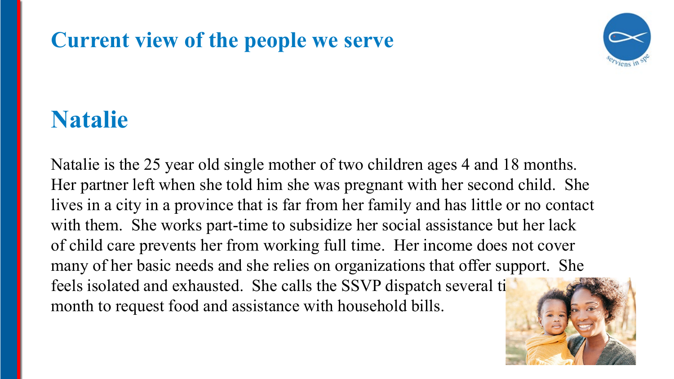## **Current view of the people we serve**



# **Natalie**

Natalie is the 25 year old single mother of two children ages 4 and 18 months. Her partner left when she told him she was pregnant with her second child. She lives in a city in a province that is far from her family and has little or no contact with them. She works part-time to subsidize her social assistance but her lack of child care prevents her from working full time. Her income does not cover many of her basic needs and she relies on organizations that offer support. She feels isolated and exhausted. She calls the SSVP dispatch several ti month to request food and assistance with household bills.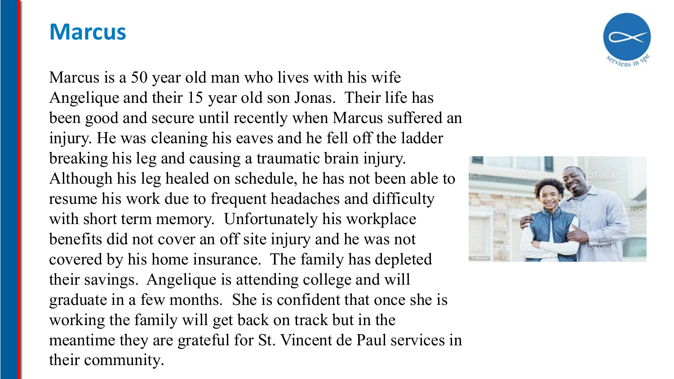#### **Marcus**

Marcus is a 50 year old man who lives with his wife Angelique and their 15 year old son Jonas. Their life has been good and secure until recently when Marcus suffered an injury. He was cleaning his eaves and he fell off the ladder breaking his leg and causing a traumatic brain injury. Although his leg healed on schedule, he has not been able to resume his work due to frequent headaches and difficulty with short term memory. Unfortunately his workplace benefits did not cover an off site injury and he was not covered by his home insurance. The family has depleted their savings. Angelique is attending college and will graduate in a few months. She is confident that once she is working the family will get back on track but in the meantime they are grateful for St. Vincent de Paul services in their community.



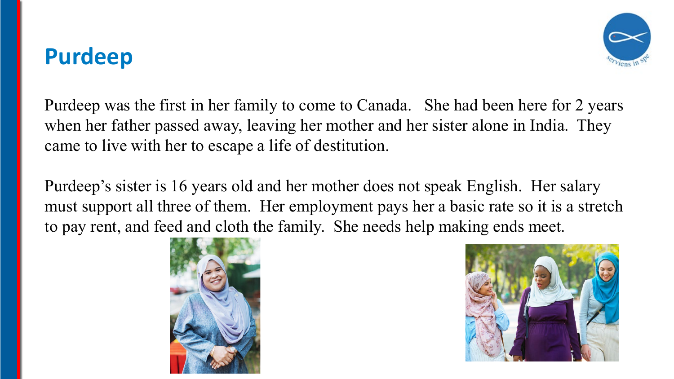# **Purdeep**



Purdeep was the first in her family to come to Canada. She had been here for 2 years when her father passed away, leaving her mother and her sister alone in India. They came to live with her to escape a life of destitution.

Purdeep's sister is 16 years old and her mother does not speak English. Her salary must support all three of them. Her employment pays her a basic rate so it is a stretch to pay rent, and feed and cloth the family. She needs help making ends meet.



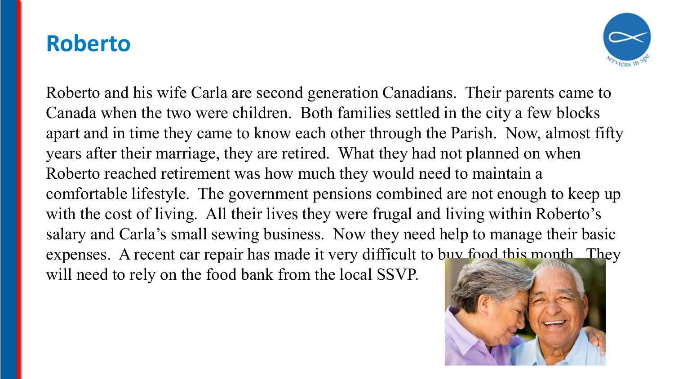#### **Roberto**



Roberto and his wife Carla are second generation Canadians. Their parents came to Canada when the two were children. Both families settled in the city a few blocks apart and in time they came to know each other through the Parish. Now, almost fifty years after their marriage, they are retired. What they had not planned on when Roberto reached retirement was how much they would need to maintain a comfortable lifestyle. The government pensions combined are not enough to keep up with the cost of living. All their lives they were frugal and living within Roberto's salary and Carla's small sewing business. Now they need help to manage their basic expenses. A recent car repair has made it very difficult to buy food this month. They will need to rely on the food bank from the local SSVP.

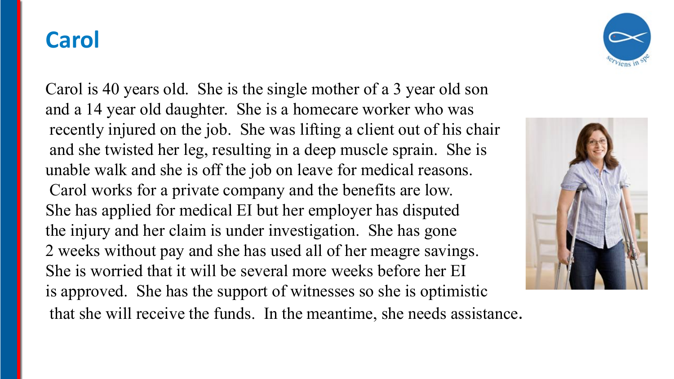## **Carol**

Carol is 40 years old. She is the single mother of a 3 year old son and a 14 year old daughter. She is a homecare worker who was recently injured on the job. She was lifting a client out of his chair and she twisted her leg, resulting in a deep muscle sprain. She is unable walk and she is off the job on leave for medical reasons. Carol works for a private company and the benefits are low. She has applied for medical EI but her employer has disputed the injury and her claim is under investigation. She has gone 2 weeks without pay and she has used all of her meagre savings. She is worried that it will be several more weeks before her EI is approved. She has the support of witnesses so she is optimistic that she will receive the funds. In the meantime, she needs assistance.



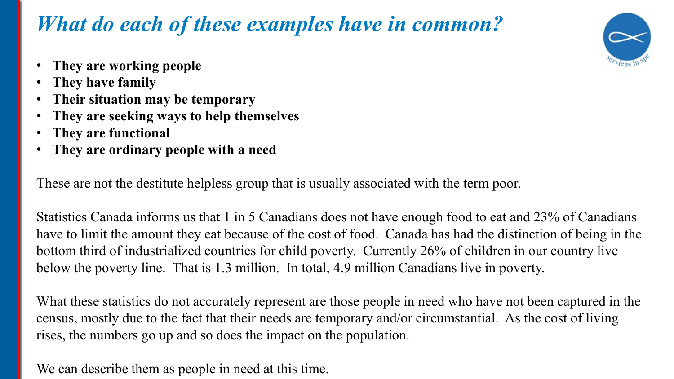## *What do each of these examples have in common?*



- **They are working people**
- **They have family**
- **Their situation may be temporary**
- **They are seeking ways to help themselves**
- **They are functional**
- **They are ordinary people with a need**

These are not the destitute helpless group that is usually associated with the term poor.

Statistics Canada informs us that 1 in 5 Canadians does not have enough food to eat and 23% of Canadians have to limit the amount they eat because of the cost of food. Canada has had the distinction of being in the bottom third of industrialized countries for child poverty. Currently 26% of children in our country live below the poverty line. That is 1.3 million. In total, 4.9 million Canadians live in poverty.

What these statistics do not accurately represent are those people in need who have not been captured in the census, mostly due to the fact that their needs are temporary and/or circumstantial. As the cost of living rises, the numbers go up and so does the impact on the population.

We can describe them as people in need at this time.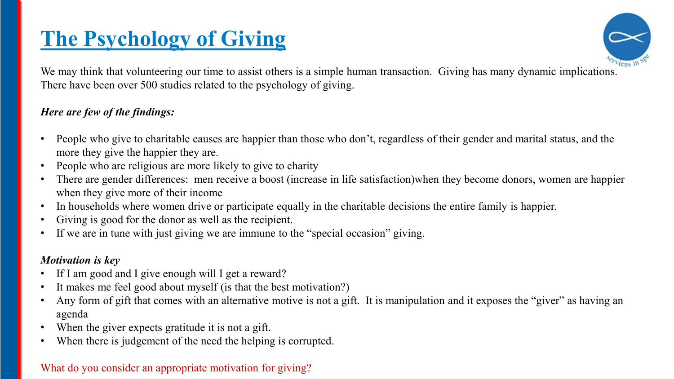## **The Psychology of Giving**



We may think that volunteering our time to assist others is a simple human transaction. Giving has many dynamic implications. There have been over 500 studies related to the psychology of giving.

#### *Here are few of the findings:*

- People who give to charitable causes are happier than those who don't, regardless of their gender and marital status, and the more they give the happier they are.
- People who are religious are more likely to give to charity
- There are gender differences: men receive a boost (increase in life satisfaction)when they become donors, women are happier when they give more of their income
- In households where women drive or participate equally in the charitable decisions the entire family is happier.
- Giving is good for the donor as well as the recipient.
- If we are in tune with just giving we are immune to the "special occasion" giving.

#### *Motivation is key*

- If I am good and I give enough will I get a reward?
- It makes me feel good about myself (is that the best motivation?)
- Any form of gift that comes with an alternative motive is not a gift. It is manipulation and it exposes the "giver" as having an agenda
- When the giver expects gratitude it is not a gift.
- When there is judgement of the need the helping is corrupted.

#### What do you consider an appropriate motivation for giving?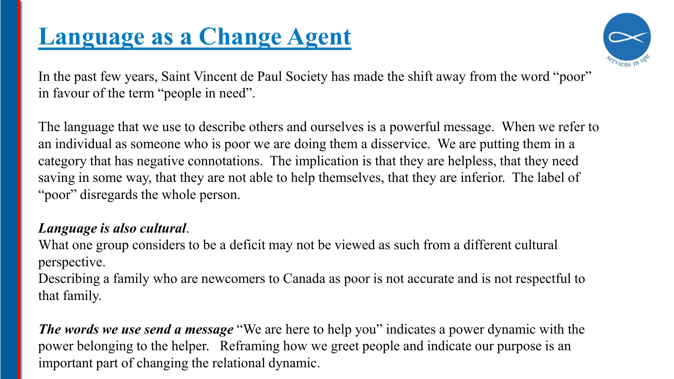## **Language as a Change Agent**



In the past few years, Saint Vincent de Paul Society has made the shift away from the word "poor" in favour of the term "people in need".

The language that we use to describe others and ourselves is a powerful message. When we refer to an individual as someone who is poor we are doing them a disservice. We are putting them in a category that has negative connotations. The implication is that they are helpless, that they need saving in some way, that they are not able to help themselves, that they are inferior. The label of "poor" disregards the whole person.

#### *Language is also cultural*.

What one group considers to be a deficit may not be viewed as such from a different cultural perspective.

Describing a family who are newcomers to Canada as poor is not accurate and is not respectful to that family.

*The words we use send a message* "We are here to help you" indicates a power dynamic with the power belonging to the helper. Reframing how we greet people and indicate our purpose is an important part of changing the relational dynamic.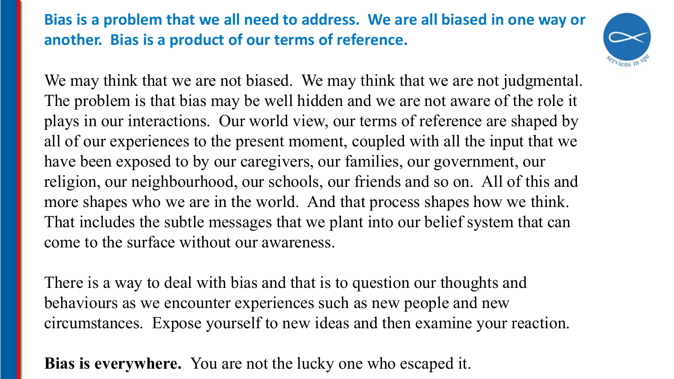#### **Bias is a problem that we all need to address. We are all biased in one way or another. Bias is a product of our terms of reference.**



We may think that we are not biased. We may think that we are not judgmental. The problem is that bias may be well hidden and we are not aware of the role it plays in our interactions. Our world view, our terms of reference are shaped by all of our experiences to the present moment, coupled with all the input that we have been exposed to by our caregivers, our families, our government, our religion, our neighbourhood, our schools, our friends and so on. All of this and more shapes who we are in the world. And that process shapes how we think. That includes the subtle messages that we plant into our belief system that can come to the surface without our awareness.

There is a way to deal with bias and that is to question our thoughts and behaviours as we encounter experiences such as new people and new circumstances. Expose yourself to new ideas and then examine your reaction.

**Bias is everywhere.** You are not the lucky one who escaped it.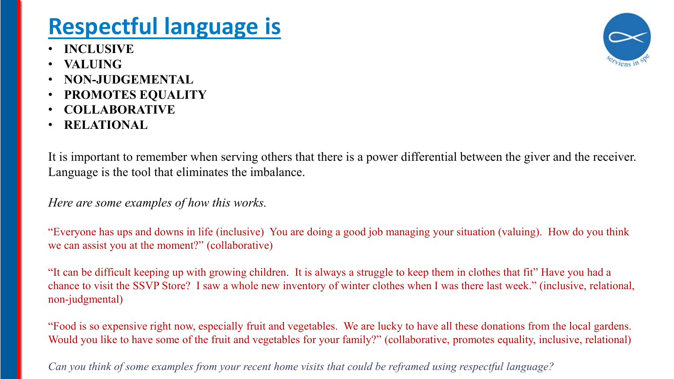# **Respectful language is**

- **INCLUSIVE**
- **VALUING**
- **NON-JUDGEMENTAL**
- **PROMOTES EQUALITY**
- **COLLABORATIVE**
- **RELATIONAL**

It is important to remember when serving others that there is a power differential between the giver and the receiver. Language is the tool that eliminates the imbalance.

*Here are some examples of how this works.*

"Everyone has ups and downs in life (inclusive) You are doing a good job managing your situation (valuing). How do you think we can assist you at the moment?" (collaborative)

"It can be difficult keeping up with growing children. It is always a struggle to keep them in clothes that fit" Have you had a chance to visit the SSVP Store? I saw a whole new inventory of winter clothes when I was there last week." (inclusive, relational, non-judgmental)

"Food is so expensive right now, especially fruit and vegetables. We are lucky to have all these donations from the local gardens. Would you like to have some of the fruit and vegetables for your family?" (collaborative, promotes equality, inclusive, relational)

*Can you think of some examples from your recent home visits that could be reframed using respectful language?*

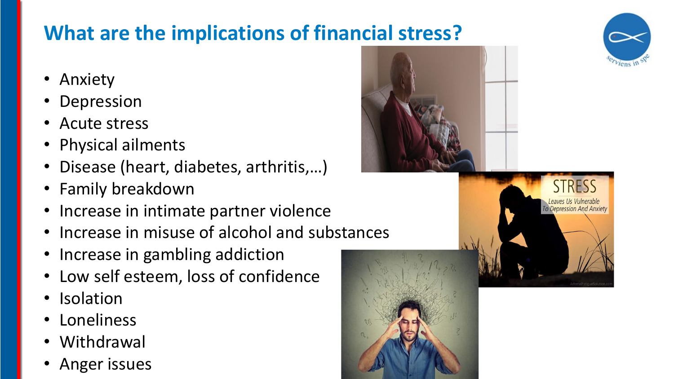## **What are the implications of financial stress?**

- Anxiety
- **Depression**
- Acute stress
- Physical ailments
- Disease (heart, diabetes, arthritis,…)
- Family breakdown
- Increase in intimate partner violence
- Increase in misuse of alcohol and substances
- Increase in gambling addiction
- Low self esteem, loss of confidence
- **Isolation**
- **Loneliness**
- **Withdrawal**
- Anger issues







To Depression And Anxiety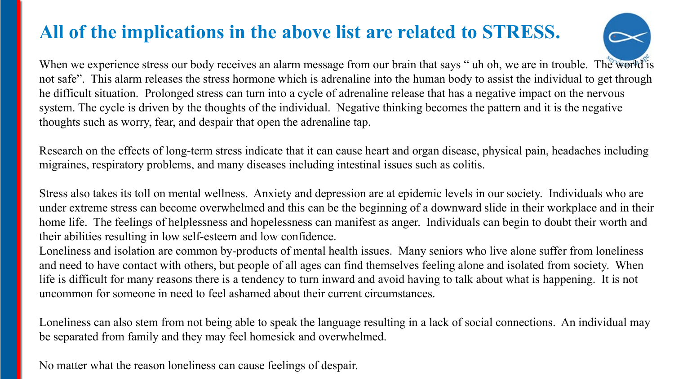#### **All of the implications in the above list are related to STRESS.**



When we experience stress our body receives an alarm message from our brain that says " uh oh, we are in trouble. The world is not safe". This alarm releases the stress hormone which is adrenaline into the human body to assist the individual to get through he difficult situation. Prolonged stress can turn into a cycle of adrenaline release that has a negative impact on the nervous system. The cycle is driven by the thoughts of the individual. Negative thinking becomes the pattern and it is the negative thoughts such as worry, fear, and despair that open the adrenaline tap.

Research on the effects of long-term stress indicate that it can cause heart and organ disease, physical pain, headaches including migraines, respiratory problems, and many diseases including intestinal issues such as colitis.

Stress also takes its toll on mental wellness. Anxiety and depression are at epidemic levels in our society. Individuals who are under extreme stress can become overwhelmed and this can be the beginning of a downward slide in their workplace and in their home life. The feelings of helplessness and hopelessness can manifest as anger. Individuals can begin to doubt their worth and their abilities resulting in low self-esteem and low confidence.

Loneliness and isolation are common by-products of mental health issues. Many seniors who live alone suffer from loneliness and need to have contact with others, but people of all ages can find themselves feeling alone and isolated from society. When life is difficult for many reasons there is a tendency to turn inward and avoid having to talk about what is happening. It is not uncommon for someone in need to feel ashamed about their current circumstances.

Loneliness can also stem from not being able to speak the language resulting in a lack of social connections. An individual may be separated from family and they may feel homesick and overwhelmed.

No matter what the reason loneliness can cause feelings of despair.